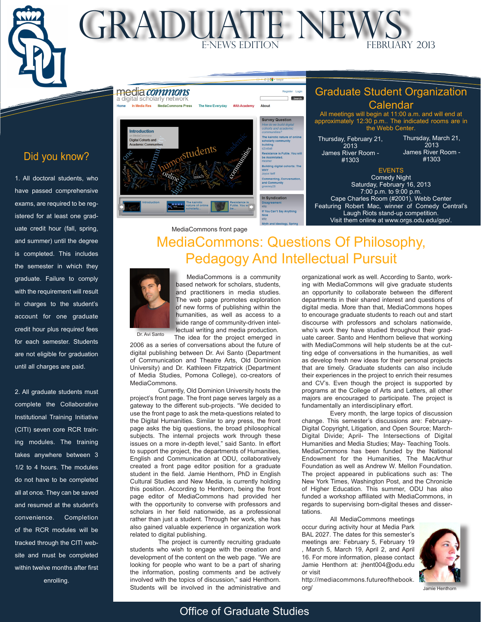# Did you know?

 $\sqrt{p}$ 

MONTH TM

L $\overline{\phantom{m}}$ 

 $\overline{\phantom{a}}$ 

1. All doctoral students, who have passed comprehensive exams, are required to be registered for at least one graduate credit hour (fall, spring, and summer) until the degree is completed. This includes the semester in which they graduate. Failure to comply with the requirement will result in charges to the student's account for one graduate credit hour plus required fees for each semester. Students are not eligible for graduation until all charges are paid.

2. All graduate students must complete the Collaborative Institutional Training Initiative (CITI) seven core RCR training modules. The training takes anywhere between 3 1/2 to 4 hours. The modules do not have to be completed all at once. They can be saved and resumed at the student's convenience. Completion of the RCR modules will be tracked through the CITI website and must be completed within twelve months after first enrolling.



MONTHLY

students

All meetings will begin at 11:00 a.m. and will end at approximately 12:30 p.m.. The indicated rooms are in the Webb Center.

Thursday, February 21, 2013 James River Room - #1303

Thursday, March 21, 2013 James River Room - #1303

## EVENTS

Comedy Night Saturday, February 16, 2013 7:00 p.m. to 9:00 p.m. Cape Charles Room (#2001), Webb Center Featuring Robert Mac, winner of Comedy Central's Laugh Riots stand-up competition. Visit them online at [www.orgs.odu.edu/gso/](http://orgs.odu.edu/gso/).

# MediaCommons: Questions Of Philosophy, Pedagogy And Intellectual Pursuit MediaCommons front page

**Survey Question** 

**Building digital cohorts Neff** oyce Neff<br>C<mark>ommenting, Con</mark><br>Ind Community<br><sub>|reeney28</sub>

In Syndication **If You Can't Say Anything** 



ntroduction **Digital Cohorts and** 

> MediaCommons is a community based network for scholars, students, and practitioners in media studies. The web page promotes exploration of new forms of publishing within the humanities, as well as access to a wide range of community-driven intellectual writing and media production. The idea for the project emerged in

2006 as a series of conversations about the future of digital publishing between Dr. Avi Santo (Department of Communication and Theatre Arts, Old Dominion University) and Dr. Kathleen Fitzpatrick (Department of Media Studies, Pomona College), co-creators of MediaCommons.

Currently, Old Dominion University hosts the project's front page. The front page serves largely as a gateway to the different sub-projects. "We decided to use the front page to ask the meta-questions related to the Digital Humanities. Similar to any press, the front page asks the big questions, the broad philosophical subjects. The internal projects work through these issues on a more in-depth level," said Santo. In effort to support the project, the departments of Humanities, English and Communication at ODU, collaboratively created a front page editor position for a graduate student in the field. Jamie Henthorn, PhD in English Cultural Studies and New Media, is currently holding this position. According to Henthorn, being the front page editor of MediaCommons had provided her with the opportunity to converse with professors and scholars in her field nationwide, as a professional rather than just a student. Through her work, she has also gained valuable experience in organization work related to digital publishing.

The project is currently recruiting graduate students who wish to engage with the creation and development of the content on the web page. "We are looking for people who want to be a part of sharing the information, posting comments and be actively involved with the topics of discussion," said Henthorn. Students will be involved in the administrative and organizational work as well. According to Santo, working with MediaCommons will give graduate students an opportunity to collaborate between the different departments in their shared interest and questions of digital media. More than that, MediaCommons hopes to encourage graduate students to reach out and start discourse with professors and scholars nationwide, who's work they have studied throughout their graduate career. Santo and Henthorn believe that working with MediaCommons will help students be at the cutting edge of conversations in the humanities, as well as develop fresh new ideas for their personal projects that are timely. Graduate students can also include their experiences in the project to enrich their resumes and CV's. Even though the project is supported by programs at the College of Arts and Letters, all other majors are encouraged to participate. The project is fundamentally an interdisciplinary effort.

Every month, the large topics of discussion change. This semester's discussions are: February-Digital Copyright, Litigation, and Open Source; March-Digital Divide; April- The Intersections of Digital Humanities and Media Studies; May- Teaching Tools. MediaCommons has been funded by the National Endowment for the Humanities, The MacArthur Foundation as well as Andrew W. Mellon Foundation. The project appeared in publications such as: The New York Times, Washington Post, and the Chronicle of Higher Education. This summer, ODU has also funded a workshop affiliated with MediaCommons, in regards to supervising born-digital theses and dissertations.

All MediaCommons meetings occur during activity hour at Media Park BAL 2027. The dates for this semester's meetings are: February 5, February 19 , March 5, March 19, April 2, and April 16. For more information, please contact Jamie Henthorn at: jhent004@odu.edu or visit



Jamie Henthorn

[http://mediacommons.futureofthebook.](http://mediacommons.futureofthebook.org/) [org/](http://mediacommons.futureofthebook.org/)